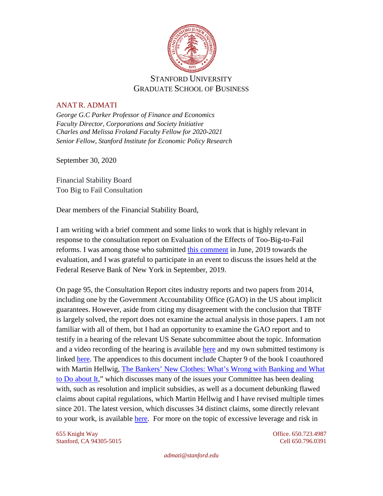

## STANFORD UNIVERSITY GRADUATE SCHOOL OF BUSINESS

## ANAT R. ADMATI

*George G.C Parker Professor of Finance and Economics Faculty Director, Corporations and Society Initiative Charles and Melissa Froland Faculty Fellow for 2020-2021 Senior Fellow, Stanford Institute for Economic Policy Research*

September 30, 2020

Financial Stability Board Too Big to Fail Consultation

Dear members of the Financial Stability Board,

I am writing with a brief comment and some links to work that is highly relevant in response to the consultation report on Evaluation of the Effects of Too-Big-to-Fail reforms. I was among those who submitted [this comment](https://admati.people.stanford.edu/sites/g/files/sbiybj1846/f/admati_fsb_comment_on_tbtf_062119.pdf) in June, 2019 towards the evaluation, and I was grateful to participate in an event to discuss the issues held at the Federal Reserve Bank of New York in September, 2019.

On page 95, the Consultation Report cites industry reports and two papers from 2014, including one by the Government Accountability Office (GAO) in the US about implicit guarantees. However, aside from citing my disagreement with the conclusion that TBTF is largely solved, the report does not examine the actual analysis in those papers. I am not familiar with all of them, but I had an opportunity to examine the GAO report and to testify in a hearing of the relevant US Senate subcommittee about the topic. Information and a video recording of the hearing is available [here](https://www.banking.senate.gov/imo/media/doc/AdmatiTestimonyFICP73114.pdf) and my own submitted testimony is linked [here.](https://www.banking.senate.gov/imo/media/doc/AdmatiTestimonyFICP73114.pdf) The appendices to this document include Chapter 9 of the book I coauthored with Martin Hellwig, [The Bankers' New Clothes: What's Wrong with Banking and What](http://bankersnewclothes.com/)  [to Do about It,](http://bankersnewclothes.com/)" which discusses many of the issues your Committee has been dealing with, such as resolution and implicit subsidies, as well as a document debunking flawed claims about capital regulations, which Martin Hellwig and I have revised multiple times since 201. The latest version, which discusses 34 distinct claims, some directly relevant to your work, is available [here.](https://admati.people.stanford.edu/publications/parade-bankers-new-clothes-continues-34-flawed-claims-debunked) For more on the topic of excessive leverage and risk in

655 Knight Way Office. 650.723.4987 Stanford, CA 94305-5015 Cell 650.796.0391

*admati@stanford.edu*